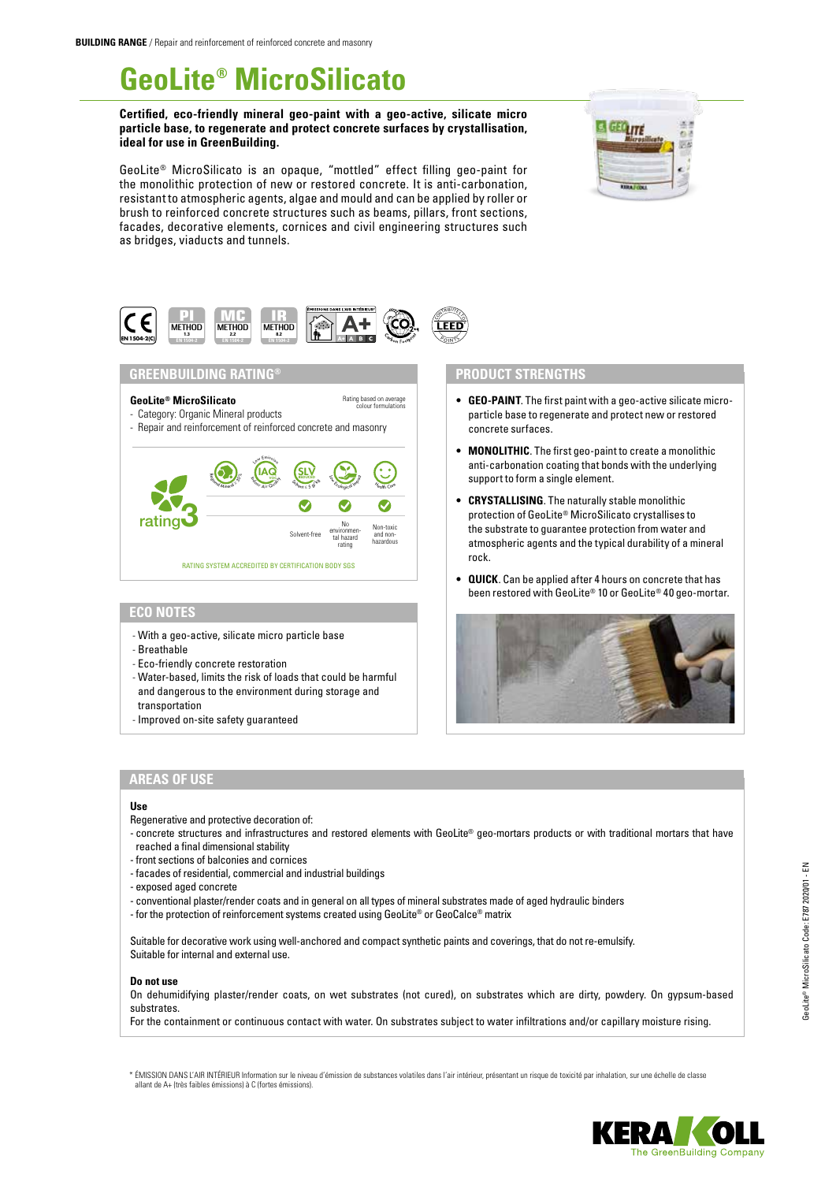# **GeoLite® MicroSilicato**

**Certified, eco-friendly mineral geo-paint with a geo-active, silicate micro particle base, to regenerate and protect concrete surfaces by crystallisation, ideal for use in GreenBuilding.**

GeoLite® MicroSilicato is an opaque, "mottled" effect filling geo-paint for the monolithic protection of new or restored concrete. It is anti-carbonation, resistant to atmospheric agents, algae and mould and can be applied by roller or brush to reinforced concrete structures such as beams, pillars, front sections, facades, decorative elements, cornices and civil engineering structures such as bridges, viaducts and tunnels.

Rating based on average colour formulations





## **GREENBUILDING RATING®**

# **GeoLite® MicroSilicato**

- Category: Organic Mineral products
- Repair and reinforcement of reinforced concrete and masonry



# **ECO NOTES**

- With a geo-active, silicate micro particle base
- Breathable
- Eco-friendly concrete restoration
- Water-based, limits the risk of loads that could be harmful and dangerous to the environment during storage and transportation
- Improved on-site safety guaranteed

## **PRODUCT STRENGTHS**

- **• GEO-PAINT**. The first paint with a geo-active silicate microparticle base to regenerate and protect new or restored concrete surfaces.
- **• MONOLITHIC**. The first geo-paint to create a monolithic anti-carbonation coating that bonds with the underlying support to form a single element.
- **• CRYSTALLISING**. The naturally stable monolithic protection of GeoLite® MicroSilicato crystallises to the substrate to guarantee protection from water and atmospheric agents and the typical durability of a mineral rock.
- **• QUICK**. Can be applied after 4 hours on concrete that has been restored with GeoLite® 10 or GeoLite® 40 geo-mortar.



# **AREAS OF USE**

#### **Use**

- Regenerative and protective decoration of:
- concrete structures and infrastructures and restored elements with GeoLite® geo-mortars products or with traditional mortars that have reached a final dimensional stability
- front sections of balconies and cornices
- facades of residential, commercial and industrial buildings
- exposed aged concrete
- conventional plaster/render coats and in general on all types of mineral substrates made of aged hydraulic binders
- for the protection of reinforcement systems created using GeoLite® or GeoCalce® matrix

Suitable for decorative work using well-anchored and compact synthetic paints and coverings, that do not re-emulsify. Suitable for internal and external use.

#### **Do not use**

On dehumidifying plaster/render coats, on wet substrates (not cured), on substrates which are dirty, powdery. On gypsum-based substrates.

For the containment or continuous contact with water. On substrates subject to water infiltrations and/or capillary moisture rising.

\* ÉMISSION DANS L'AIR INTÉRIEUR Information sur le niveau d'émission de substances volatiles dans l'air intérieur, présentant un risque de toxicité par inhalation, sur une échelle de classe allant de A+ (très faibles émissions) à C (fortes émissions).

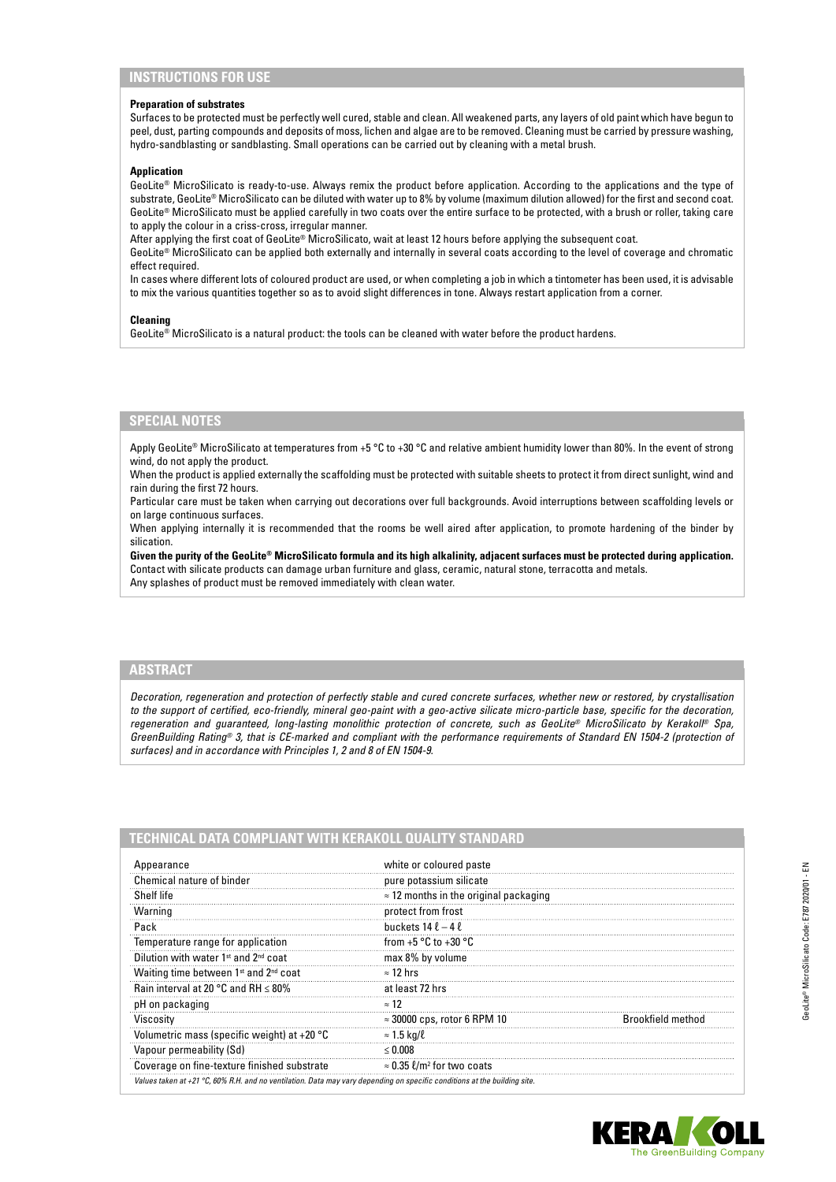#### **Preparation of substrates**

Surfaces to be protected must be perfectly well cured, stable and clean. All weakened parts, any layers of old paint which have begun to peel, dust, parting compounds and deposits of moss, lichen and algae are to be removed. Cleaning must be carried by pressure washing, hydro-sandblasting or sandblasting. Small operations can be carried out by cleaning with a metal brush.

#### **Application**

GeoLite® MicroSilicato is ready-to-use. Always remix the product before application. According to the applications and the type of substrate, GeoLite® MicroSilicato can be diluted with water up to 8% by volume (maximum dilution allowed) for the first and second coat. GeoLite® MicroSilicato must be applied carefully in two coats over the entire surface to be protected, with a brush or roller, taking care to apply the colour in a criss-cross, irregular manner.

After applying the first coat of GeoLite® MicroSilicato, wait at least 12 hours before applying the subsequent coat.

GeoLite® MicroSilicato can be applied both externally and internally in several coats according to the level of coverage and chromatic effect required.

In cases where different lots of coloured product are used, or when completing a job in which a tintometer has been used, it is advisable to mix the various quantities together so as to avoid slight differences in tone. Always restart application from a corner.

#### **Cleaning**

GeoLite® MicroSilicato is a natural product: the tools can be cleaned with water before the product hardens.

## **SPECIAL NOTES**

Apply GeoLite® MicroSilicato at temperatures from +5 °C to +30 °C and relative ambient humidity lower than 80%. In the event of strong wind, do not apply the product.

When the product is applied externally the scaffolding must be protected with suitable sheets to protect it from direct sunlight, wind and rain during the first 72 hours.

Particular care must be taken when carrying out decorations over full backgrounds. Avoid interruptions between scaffolding levels or on large continuous surfaces.

When applying internally it is recommended that the rooms be well aired after application, to promote hardening of the binder by silication.

**Given the purity of the GeoLite® MicroSilicato formula and its high alkalinity, adjacent surfaces must be protected during application.** Contact with silicate products can damage urban furniture and glass, ceramic, natural stone, terracotta and metals. Any splashes of product must be removed immediately with clean water.

## **ABSTRACT**

*Decoration, regeneration and protection of perfectly stable and cured concrete surfaces, whether new or restored, by crystallisation to the support of certified, eco-friendly, mineral geo-paint with a geo-active silicate micro-particle base, specific for the decoration, regeneration and guaranteed, long-lasting monolithic protection of concrete, such as GeoLite® MicroSilicato by Kerakoll® Spa, GreenBuilding Rating® 3, that is CE-marked and compliant with the performance requirements of Standard EN 1504-2 (protection of surfaces) and in accordance with Principles 1, 2 and 8 of EN 1504-9.*

| TECHNICAL DATA COMPLIANT WITH KERAKOLL QUALITY STANDARD |
|---------------------------------------------------------|
|---------------------------------------------------------|

| Appearance                                                                                                                          | white or coloured paste                       |                          |
|-------------------------------------------------------------------------------------------------------------------------------------|-----------------------------------------------|--------------------------|
| Chemical nature of binder                                                                                                           | pure potassium silicate                       |                          |
| Shelf life                                                                                                                          | $\approx$ 12 months in the original packaging |                          |
| Warning                                                                                                                             | protect from frost                            |                          |
| Pack                                                                                                                                | buckets $14 \ell - 4 \ell$                    |                          |
| Temperature range for application                                                                                                   | from $+5$ °C to $+30$ °C                      |                          |
| Dilution with water 1 <sup>st</sup> and 2 <sup>nd</sup> coat                                                                        | max 8% by volume                              |                          |
| Waiting time between 1 <sup>st</sup> and 2 <sup>nd</sup> coat                                                                       | $\approx$ 12 hrs                              |                          |
| Rain interval at 20 °C and RH $\leq$ 80%                                                                                            | at least 72 hrs                               |                          |
| pH on packaging                                                                                                                     | $\approx$ 12                                  |                          |
| Viscosity                                                                                                                           | $\approx$ 30000 cps, rotor 6 RPM 10           | <b>Brookfield method</b> |
| Volumetric mass (specific weight) at $+20$ °C                                                                                       | $\approx$ 1.5 kg/ $\ell$                      |                          |
| Vapour permeability (Sd)                                                                                                            | < 0.008                                       |                          |
| Coverage on fine-texture finished substrate                                                                                         | $\approx$ 0.35 l/m <sup>2</sup> for two coats |                          |
| Values taken at +21 $^{\circ}$ C, 60% R.H. and no ventilation. Data may vary depending on specific conditions at the building site. |                                               |                          |